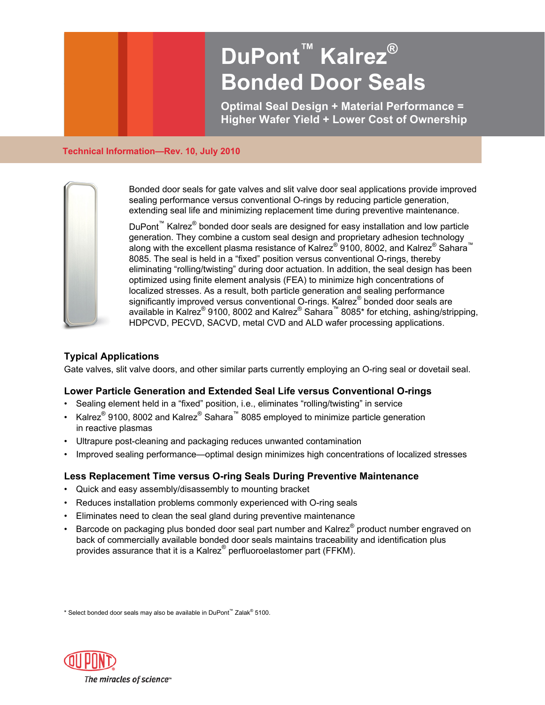# **DuPont™ Kalrez<sup>®</sup> Bonded Door Seals**

**Optimal Seal Design + Material Performance = Higher Wafer Yield + Lower Cost of Ownership** 

#### **Technical Information—Rev. 10, July 2010**



Bonded door seals for gate valves and slit valve door seal applications provide improved sealing performance versus conventional O-rings by reducing particle generation, extending seal life and minimizing replacement time during preventive maintenance.

DuPont<sup>™</sup> Kalrez<sup>®</sup> bonded door seals are designed for easy installation and low particle generation. They combine a custom seal design and proprietary adhesion technology along with the excellent plasma resistance of Kalrez® 9100, 8002, and Kalrez® Sahara™ 8085. The seal is held in a "fixed" position versus conventional O-rings, thereby eliminating "rolling/twisting" during door actuation. In addition, the seal design has been optimized using finite element analysis (FEA) to minimize high concentrations of localized stresses. As a result, both particle generation and sealing performance significantly improved versus conventional O-rings. Kalrez® bonded door seals are available in Kalrez® 9100, 8002 and Kalrez® Sahara<sup>™</sup> 8085\* for etching, ashing/stripping, HDPCVD, PECVD, SACVD, metal CVD and ALD wafer processing applications.

# **Typical Applications**

Gate valves, slit valve doors, and other similar parts currently employing an O-ring seal or dovetail seal.

# **Lower Particle Generation and Extended Seal Life versus Conventional O-rings**

- Sealing element held in a "fixed" position, i.e., eliminates "rolling/twisting" in service
- Kalrez® 9100, 8002 and Kalrez® Sahara<sup>™</sup> 8085 employed to minimize particle generation in reactive plasmas
- Ultrapure post-cleaning and packaging reduces unwanted contamination
- Improved sealing performance—optimal design minimizes high concentrations of localized stresses

# **Less Replacement Time versus O-ring Seals During Preventive Maintenance**

- Quick and easy assembly/disassembly to mounting bracket
- Reduces installation problems commonly experienced with O-ring seals
- Eliminates need to clean the seal gland during preventive maintenance
- $\bullet$  Barcode on packaging plus bonded door seal part number and Kalrez® product number engraved on back of commercially available bonded door seals maintains traceability and identification plus provides assurance that it is a Kalrez® perfluoroelastomer part (FFKM).

\* Select bonded door seals may also be available in DuPont™ Zalak® 5100.

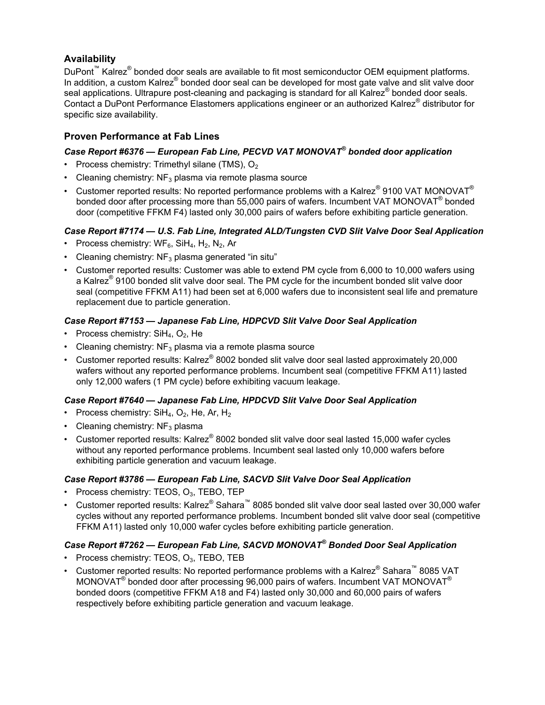# **Availability**

DuPont<sup>™</sup> Kalrez<sup>®</sup> bonded door seals are available to fit most semiconductor OEM equipment platforms. In addition, a custom Kalrez® bonded door seal can be developed for most gate valve and slit valve door seal applications. Ultrapure post-cleaning and packaging is standard for all Kalrez® bonded door seals. Contact a DuPont Performance Elastomers applications engineer or an authorized Kalrez® distributor for specific size availability.

# **Proven Performance at Fab Lines**

# *Case Report #6376 — European Fab Line, PECVD VAT MONOVAT® bonded door application*

- Process chemistry: Trimethyl silane (TMS),  $O<sub>2</sub>$
- Cleaning chemistry:  $NF_3$  plasma via remote plasma source
- Customer reported results: No reported performance problems with a Kalrez® 9100 VAT MONOVAT® bonded door after processing more than 55,000 pairs of wafers. Incumbent VAT MONOVAT<sup>®</sup> bonded door (competitive FFKM F4) lasted only 30,000 pairs of wafers before exhibiting particle generation.

## *Case Report #7174 — U.S. Fab Line, Integrated ALD/Tungsten CVD Slit Valve Door Seal Application*

- Process chemistry:  $WF_6$ , SiH<sub>4</sub>, H<sub>2</sub>, N<sub>2</sub>, Ar
- Cleaning chemistry:  $NF<sub>3</sub>$  plasma generated "in situ"
- Customer reported results: Customer was able to extend PM cycle from 6,000 to 10,000 wafers using a Kalrez® 9100 bonded slit valve door seal. The PM cycle for the incumbent bonded slit valve door seal (competitive FFKM A11) had been set at 6,000 wafers due to inconsistent seal life and premature replacement due to particle generation.

## *Case Report #7153 — Japanese Fab Line, HDPCVD Slit Valve Door Seal Application*

- Process chemistry:  $SH_4$ ,  $O_2$ , He
- Cleaning chemistry:  $NF_3$  plasma via a remote plasma source
- Customer reported results: Kalrez® 8002 bonded slit valve door seal lasted approximately 20,000 wafers without any reported performance problems. Incumbent seal (competitive FFKM A11) lasted only 12,000 wafers (1 PM cycle) before exhibiting vacuum leakage.

## *Case Report #7640 — Japanese Fab Line, HPDCVD Slit Valve Door Seal Application*

- Process chemistry:  $SH<sub>4</sub>, O<sub>2</sub>, He, Ar, H<sub>2</sub>$
- Cleaning chemistry:  $NF<sub>3</sub>$  plasma
- Customer reported results: Kalrez $^{\circ}$  8002 bonded slit valve door seal lasted 15,000 wafer cycles without any reported performance problems. Incumbent seal lasted only 10,000 wafers before exhibiting particle generation and vacuum leakage.

## *Case Report #3786 — European Fab Line, SACVD Slit Valve Door Seal Application*

- Process chemistry: TEOS,  $O_3$ , TEBO, TEP
- Customer reported results: Kalrez® Sahara™ 8085 bonded slit valve door seal lasted over 30,000 wafer cycles without any reported performance problems. Incumbent bonded slit valve door seal (competitive FFKM A11) lasted only 10,000 wafer cycles before exhibiting particle generation.

# *Case Report #7262 — European Fab Line, SACVD MONOVAT® Bonded Door Seal Application*

- Process chemistry: TEOS,  $O_3$ , TEBO, TEB
- Customer reported results: No reported performance problems with a Kalrez® Sahara™ 8085 VAT MONOVAT® bonded door after processing 96,000 pairs of wafers. Incumbent VAT MONOVAT® bonded doors (competitive FFKM A18 and F4) lasted only 30,000 and 60,000 pairs of wafers respectively before exhibiting particle generation and vacuum leakage.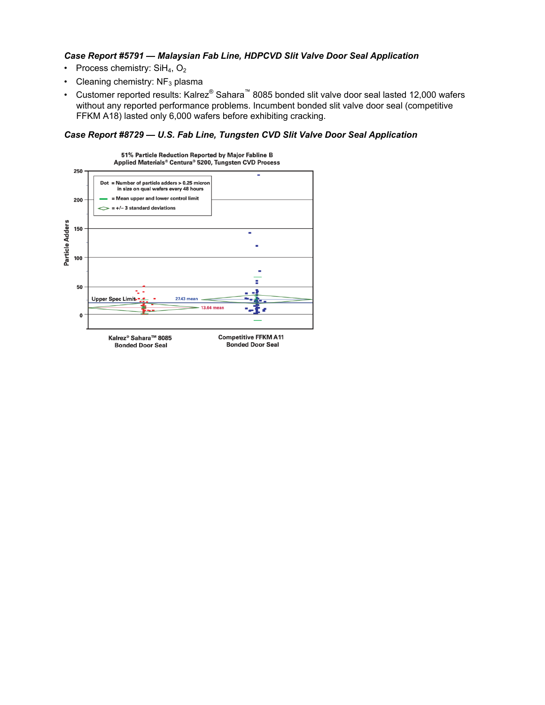#### *Case Report #5791 — Malaysian Fab Line, HDPCVD Slit Valve Door Seal Application*

- Process chemistry:  $SH_4$ ,  $O_2$
- Cleaning chemistry:  $NF<sub>3</sub>$  plasma
- Customer reported results: Kalrez® Sahara™ 8085 bonded slit valve door seal lasted 12,000 wafers without any reported performance problems. Incumbent bonded slit valve door seal (competitive FFKM A18) lasted only 6,000 wafers before exhibiting cracking.

### *Case Report #8729 — U.S. Fab Line, Tungsten CVD Slit Valve Door Seal Application*